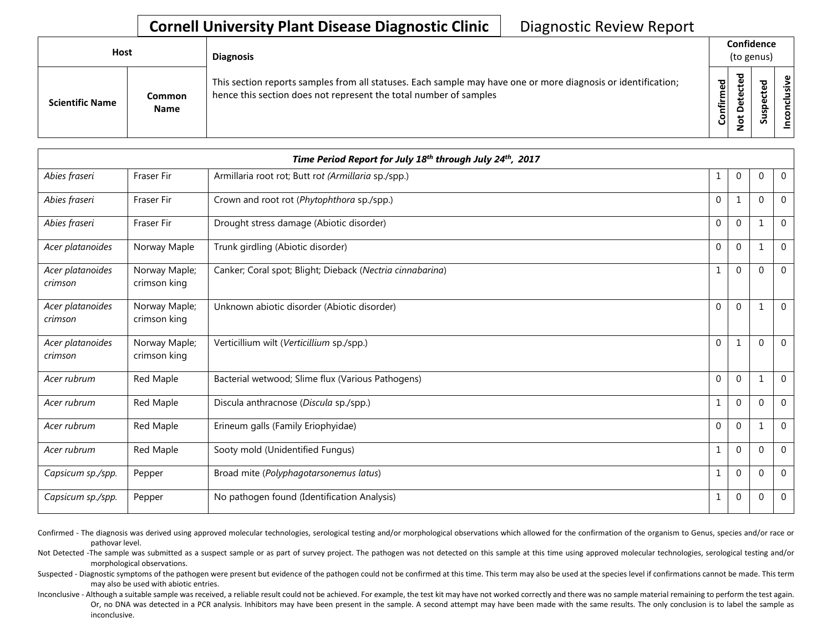| Host                   |                       | <b>Diagnosis</b>                                                                                                                                                                   |           |        | Confidence<br>(to genus) |                  |
|------------------------|-----------------------|------------------------------------------------------------------------------------------------------------------------------------------------------------------------------------|-----------|--------|--------------------------|------------------|
| <b>Scientific Name</b> | Common<br><b>Name</b> | This section reports samples from all statuses. Each sample may have one or more diagnosis or identification;<br>hence this section does not represent the total number of samples | Confirmed | ъ<br>≏ | ۹                        | usive<br>᠊ᠣ<br>g |

| Time Period Report for July 18th through July 24th, 2017 |                               |                                                           |              |             |             |                |  |  |  |
|----------------------------------------------------------|-------------------------------|-----------------------------------------------------------|--------------|-------------|-------------|----------------|--|--|--|
| Abies fraseri                                            | Fraser Fir                    | Armillaria root rot; Butt rot (Armillaria sp./spp.)       | 1            | $\mathbf 0$ | $\mathbf 0$ | $\mathbf 0$    |  |  |  |
| Abies fraseri                                            | <b>Fraser Fir</b>             | Crown and root rot (Phytophthora sp./spp.)                | $\mathbf{0}$ | 1           | $\Omega$    | $\overline{0}$ |  |  |  |
| Abies fraseri                                            | <b>Fraser Fir</b>             | Drought stress damage (Abiotic disorder)                  | 0            | $\mathbf 0$ |             | $\overline{0}$ |  |  |  |
| Acer platanoides                                         | Norway Maple                  | Trunk girdling (Abiotic disorder)                         | $\mathbf{0}$ | $\mathbf 0$ |             | $\mathbf 0$    |  |  |  |
| Acer platanoides<br>crimson                              | Norway Maple;<br>crimson king | Canker; Coral spot; Blight; Dieback (Nectria cinnabarina) | 1            | $\mathbf 0$ | $\Omega$    | $\mathbf 0$    |  |  |  |
| Acer platanoides<br>crimson                              | Norway Maple;<br>crimson king | Unknown abiotic disorder (Abiotic disorder)               | $\mathbf{0}$ | $\mathbf 0$ |             | $\mathbf 0$    |  |  |  |
| Acer platanoides<br>crimson                              | Norway Maple;<br>crimson king | Verticillium wilt (Verticillium sp./spp.)                 | $\mathbf 0$  | 1           | $\Omega$    | $\overline{0}$ |  |  |  |
| Acer rubrum                                              | Red Maple                     | Bacterial wetwood; Slime flux (Various Pathogens)         | $\mathbf{0}$ | $\mathbf 0$ |             | $\overline{0}$ |  |  |  |
| Acer rubrum                                              | Red Maple                     | Discula anthracnose (Discula sp./spp.)                    |              | $\mathbf 0$ | $\Omega$    | $\overline{0}$ |  |  |  |
| Acer rubrum                                              | Red Maple                     | Erineum galls (Family Eriophyidae)                        | $\mathbf{0}$ | $\mathbf 0$ |             | $\mathbf 0$    |  |  |  |
| Acer rubrum                                              | Red Maple                     | Sooty mold (Unidentified Fungus)                          | $\mathbf{1}$ | $\mathbf 0$ | $\Omega$    | $\mathbf 0$    |  |  |  |
| Capsicum sp./spp.                                        | Pepper                        | Broad mite (Polyphagotarsonemus latus)                    | 1            | $\mathbf 0$ | $\Omega$    | $\mathbf 0$    |  |  |  |
| Capsicum sp./spp.                                        | Pepper                        | No pathogen found (Identification Analysis)               | 1            | $\mathbf 0$ | $\mathbf 0$ | 0              |  |  |  |

Confirmed - The diagnosis was derived using approved molecular technologies, serological testing and/or morphological observations which allowed for the confirmation of the organism to Genus, species and/or race or pathovar level.

Not Detected -The sample was submitted as a suspect sample or as part of survey project. The pathogen was not detected on this sample at this time using approved molecular technologies, serological testing and/or morphological observations.

Suspected - Diagnostic symptoms of the pathogen were present but evidence of the pathogen could not be confirmed at this time. This term may also be used at the species level if confirmations cannot be made. This term may also be used with abiotic entries.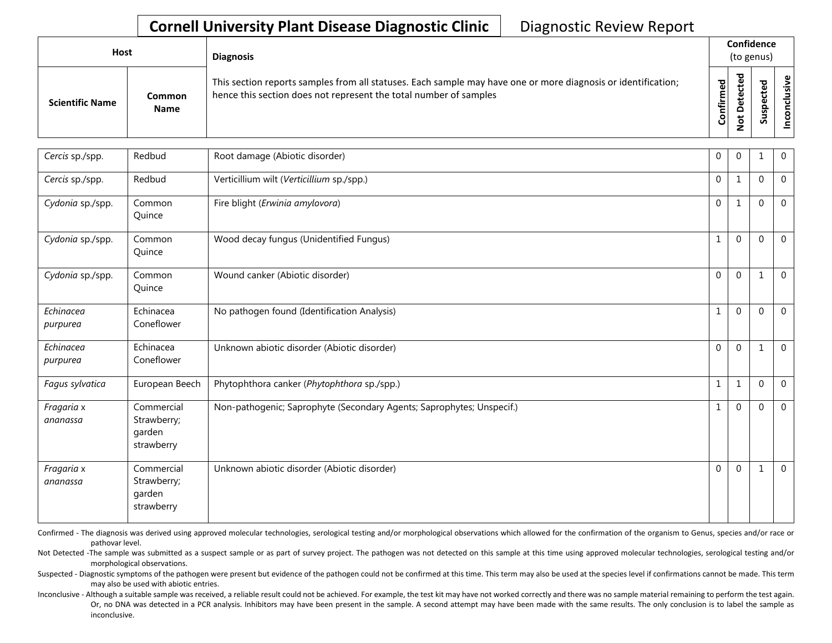| Host                   |                       | <b>Diagnosis</b>                                                                                                                                                                   |                     | Confidence<br>(to genus) |               |                          |  |  |  |  |
|------------------------|-----------------------|------------------------------------------------------------------------------------------------------------------------------------------------------------------------------------|---------------------|--------------------------|---------------|--------------------------|--|--|--|--|
| <b>Scientific Name</b> | Common<br><b>Name</b> | This section reports samples from all statuses. Each sample may have one or more diagnosis or identification;<br>hence this section does not represent the total number of samples | უ<br>მ<br>ηËΓ<br>පි |                          | ω<br><b>S</b> | ု ပ<br>ś<br>$\circ$<br>Ō |  |  |  |  |

| Cercis sp./spp.        | Redbud                                            | Root damage (Abiotic disorder)                                        | 0            | $\mathbf{0}$ | 1            | $\mathbf 0$  |
|------------------------|---------------------------------------------------|-----------------------------------------------------------------------|--------------|--------------|--------------|--------------|
| Cercis sp./spp.        | Redbud                                            | Verticillium wilt (Verticillium sp./spp.)                             | $\mathbf 0$  | $\mathbf{1}$ | $\Omega$     | $\mathbf 0$  |
| Cydonia sp./spp.       | Common<br>Quince                                  | Fire blight (Erwinia amylovora)                                       | $\mathbf 0$  | $\mathbf{1}$ | $\mathbf{0}$ | $\Omega$     |
| Cydonia sp./spp.       | Common<br>Quince                                  | Wood decay fungus (Unidentified Fungus)                               | $\mathbf{1}$ | $\Omega$     | $\Omega$     | $\mathbf 0$  |
| Cydonia sp./spp.       | Common<br>Quince                                  | Wound canker (Abiotic disorder)                                       | $\Omega$     | $\mathbf{0}$ | 1            | $\mathbf 0$  |
| Echinacea<br>purpurea  | Echinacea<br>Coneflower                           | No pathogen found (Identification Analysis)                           | $\mathbf{1}$ | $\mathbf{0}$ | $\Omega$     | $\Omega$     |
| Echinacea<br>purpurea  | Echinacea<br>Coneflower                           | Unknown abiotic disorder (Abiotic disorder)                           | $\mathbf 0$  | $\mathbf{0}$ | $\mathbf 1$  | $\mathbf{0}$ |
| Fagus sylvatica        | European Beech                                    | Phytophthora canker (Phytophthora sp./spp.)                           | $\mathbf{1}$ | $\mathbf{1}$ | $\Omega$     | $\mathbf 0$  |
| Fragaria x<br>ananassa | Commercial<br>Strawberry;<br>garden<br>strawberry | Non-pathogenic; Saprophyte (Secondary Agents; Saprophytes; Unspecif.) | $\mathbf{1}$ | $\mathbf 0$  | $\Omega$     | $\mathbf 0$  |
| Fragaria x<br>ananassa | Commercial<br>Strawberry;<br>garden<br>strawberry | Unknown abiotic disorder (Abiotic disorder)                           | $\Omega$     | $\Omega$     | 1            | $\mathbf 0$  |

Confirmed - The diagnosis was derived using approved molecular technologies, serological testing and/or morphological observations which allowed for the confirmation of the organism to Genus, species and/or race or pathovar level.

Not Detected -The sample was submitted as a suspect sample or as part of survey project. The pathogen was not detected on this sample at this time using approved molecular technologies, serological testing and/or morphological observations.

Suspected - Diagnostic symptoms of the pathogen were present but evidence of the pathogen could not be confirmed at this time. This term may also be used at the species level if confirmations cannot be made. This term may also be used with abiotic entries.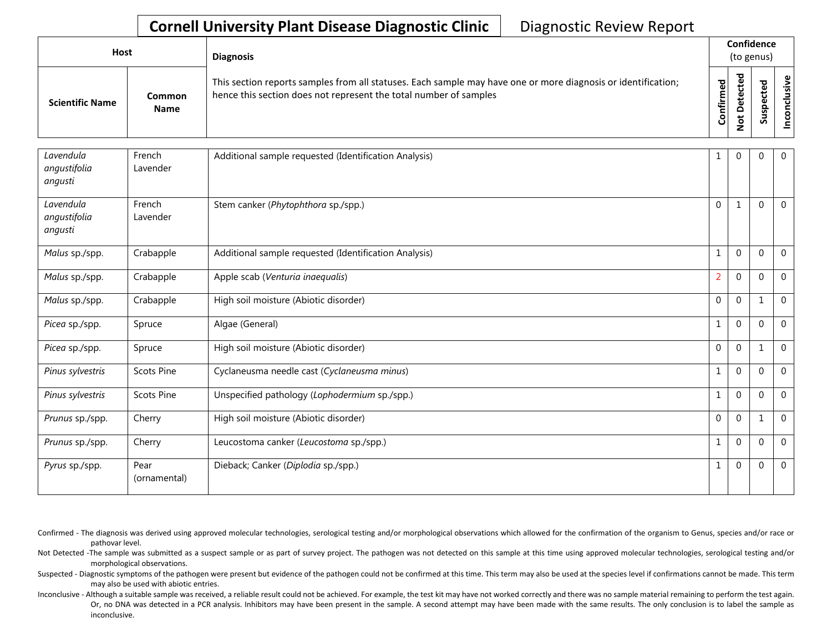| Host                   |                              | <b>Diagnosis</b>                                                                                                                                                                   |           | Confidence<br>(to genus)          |             |              |  |  |  |
|------------------------|------------------------------|------------------------------------------------------------------------------------------------------------------------------------------------------------------------------------|-----------|-----------------------------------|-------------|--------------|--|--|--|
| <b>Scientific Name</b> | <b>Common</b><br><b>Name</b> | This section reports samples from all statuses. Each sample may have one or more diagnosis or identification;<br>hence this section does not represent the total number of samples | Confirmed | ᇴ<br>ن<br>Φ<br>≏<br>سد<br>$\circ$ | ᅙ<br>Q<br>Ū | ≦.<br>⊵<br>- |  |  |  |

| Lavendula<br>angustifolia<br>angusti | French<br>Lavender   | Additional sample requested (Identification Analysis) | 1              | $\mathbf 0$  | 0           | $\overline{0}$ |
|--------------------------------------|----------------------|-------------------------------------------------------|----------------|--------------|-------------|----------------|
| Lavendula<br>angustifolia<br>angusti | French<br>Lavender   | Stem canker (Phytophthora sp./spp.)                   | $\mathbf{0}$   | 1            | $\Omega$    | $\mathbf 0$    |
| Malus sp./spp.                       | Crabapple            | Additional sample requested (Identification Analysis) | 1              | $\mathbf 0$  | $\Omega$    | $\overline{0}$ |
| Malus sp./spp.                       | Crabapple            | Apple scab (Venturia inaequalis)                      | $\overline{2}$ | $\mathbf 0$  | $\Omega$    | $\overline{0}$ |
| Malus sp./spp.                       | Crabapple            | High soil moisture (Abiotic disorder)                 | $\mathbf{0}$   | $\mathbf 0$  |             | $\Omega$       |
| Picea sp./spp.                       | Spruce               | Algae (General)                                       | 1              | $\mathbf{0}$ | $\Omega$    | $\Omega$       |
| Picea sp./spp.                       | Spruce               | High soil moisture (Abiotic disorder)                 | $\mathbf{0}$   | $\mathbf{0}$ |             | $\mathbf 0$    |
| Pinus sylvestris                     | <b>Scots Pine</b>    | Cyclaneusma needle cast (Cyclaneusma minus)           | 1              | $\mathbf{0}$ | $\Omega$    | $\mathbf 0$    |
| Pinus sylvestris                     | <b>Scots Pine</b>    | Unspecified pathology (Lophodermium sp./spp.)         | 1              | $\mathbf{0}$ | $\Omega$    | $\mathbf 0$    |
| Prunus sp./spp.                      | Cherry               | High soil moisture (Abiotic disorder)                 | $\mathbf{0}$   | $\mathbf{0}$ | 1           | $\mathbf 0$    |
| Prunus sp./spp.                      | Cherry               | Leucostoma canker (Leucostoma sp./spp.)               | $\mathbf{1}$   | $\mathbf{0}$ | $\Omega$    | $\mathbf 0$    |
| Pyrus sp./spp.                       | Pear<br>(ornamental) | Dieback; Canker (Diplodia sp./spp.)                   | 1              | $\mathbf{0}$ | $\mathbf 0$ | $\mathbf 0$    |

Confirmed - The diagnosis was derived using approved molecular technologies, serological testing and/or morphological observations which allowed for the confirmation of the organism to Genus, species and/or race or pathovar level.

Not Detected -The sample was submitted as a suspect sample or as part of survey project. The pathogen was not detected on this sample at this time using approved molecular technologies, serological testing and/or morphological observations.

Suspected - Diagnostic symptoms of the pathogen were present but evidence of the pathogen could not be confirmed at this time. This term may also be used at the species level if confirmations cannot be made. This term may also be used with abiotic entries.